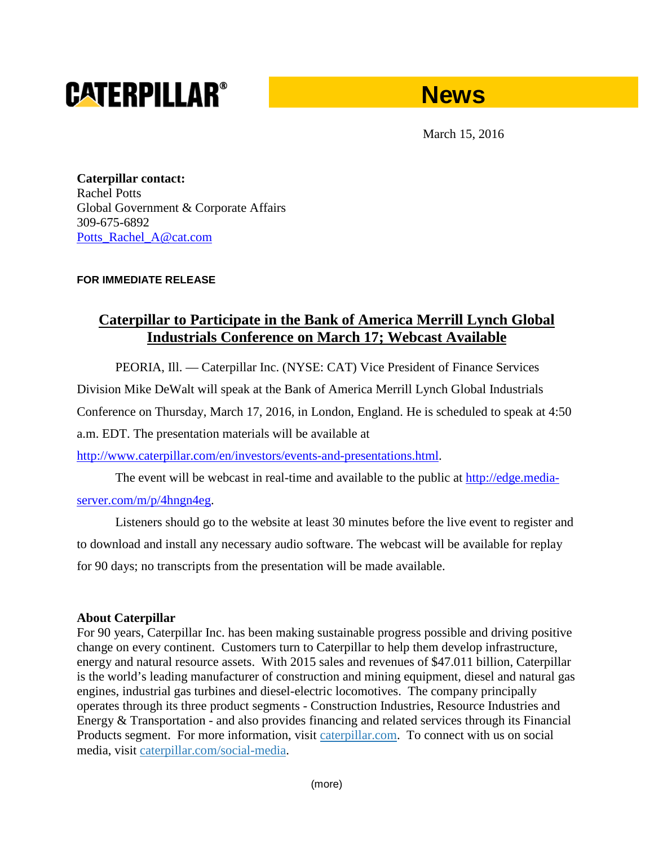# **CATERPILLAR®**



March 15, 2016

**Caterpillar contact:** Rachel Potts Global Government & Corporate Affairs 309-675-6892 [Potts\\_Rachel\\_A@cat.com](mailto:Potts_Rachel_A@cat.com)

### **FOR IMMEDIATE RELEASE**

## **Caterpillar to Participate in the Bank of America Merrill Lynch Global Industrials Conference on March 17; Webcast Available**

PEORIA, Ill. — Caterpillar Inc. (NYSE: CAT) Vice President of Finance Services

Division Mike DeWalt will speak at the Bank of America Merrill Lynch Global Industrials

Conference on Thursday, March 17, 2016, in London, England. He is scheduled to speak at 4:50

a.m. EDT. The presentation materials will be available at

[http://www.caterpillar.com/en/investors/events-and-presentations.html.](http://www.caterpillar.com/en/investors/events-and-presentations.html)

The event will be webcast in real-time and available to the public at [http://edge.media-](https://urldefense.proofpoint.com/v2/url?u=http-3A__edge.media-2Dserver.com_m_p_4hngn4eg&d=BQMF-g&c=p0oa49nxxGtbbM2qgM-GB4r4m9OlGg-sEp8sXylY2aQ&r=wMbLdCYe5h72rdbiqP201Ow7DbyBi_rt57bvf3TGkR0&m=YIxDu8AQX1681Z8y3TPtLCzTAhx36LckYhNIAO4tXT4&s=wnDNl-SAIdIW-J8vTCpE1KfeLNf_7nW9tiHLIb5YMlM&e=)

### [server.com/m/p/4hngn4eg.](https://urldefense.proofpoint.com/v2/url?u=http-3A__edge.media-2Dserver.com_m_p_4hngn4eg&d=BQMF-g&c=p0oa49nxxGtbbM2qgM-GB4r4m9OlGg-sEp8sXylY2aQ&r=wMbLdCYe5h72rdbiqP201Ow7DbyBi_rt57bvf3TGkR0&m=YIxDu8AQX1681Z8y3TPtLCzTAhx36LckYhNIAO4tXT4&s=wnDNl-SAIdIW-J8vTCpE1KfeLNf_7nW9tiHLIb5YMlM&e=)

Listeners should go to the website at least 30 minutes before the live event to register and to download and install any necessary audio software. The webcast will be available for replay for 90 days; no transcripts from the presentation will be made available.

### **About Caterpillar**

For 90 years, Caterpillar Inc. has been making sustainable progress possible and driving positive change on every continent. Customers turn to Caterpillar to help them develop infrastructure, energy and natural resource assets. With 2015 sales and revenues of \$47.011 billion, Caterpillar is the world's leading manufacturer of construction and mining equipment, diesel and natural gas engines, industrial gas turbines and diesel-electric locomotives. The company principally operates through its three product segments - Construction Industries, Resource Industries and Energy & Transportation - and also provides financing and related services through its Financial Products segment. For more information, visit [caterpillar.com.](http://www.caterpillar.com/en.html) To connect with us on social media, visit [caterpillar.com/social-media.](http://www.caterpillar.com/en/news/social-media.html)